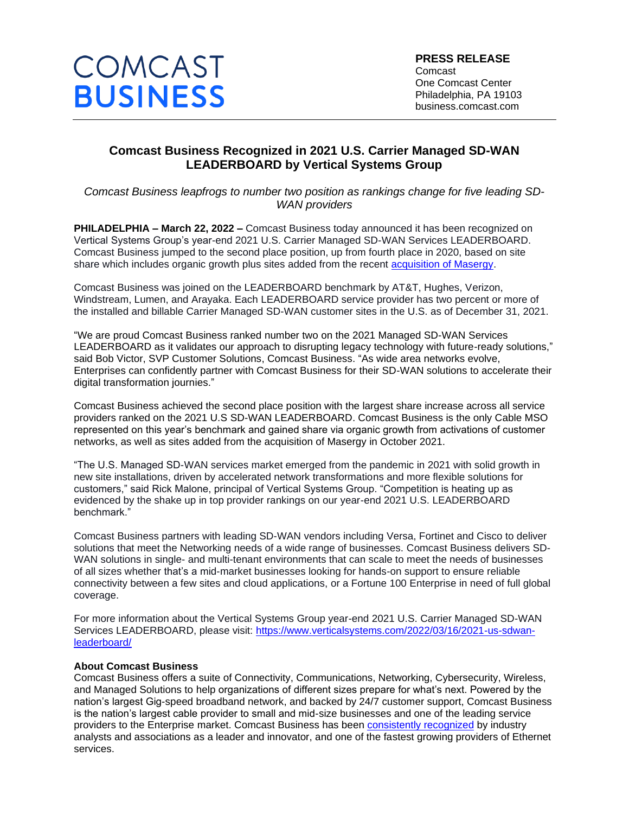

## **Comcast Business Recognized in 2021 U.S. Carrier Managed SD-WAN LEADERBOARD by Vertical Systems Group**

*Comcast Business leapfrogs to number two position as rankings change for five leading SD-WAN providers*

**PHILADELPHIA – March 22, 2022 –** Comcast Business today announced it has been recognized on Vertical Systems Group's year-end 2021 U.S. Carrier Managed SD-WAN Services LEADERBOARD. Comcast Business jumped to the second place position, up from fourth place in 2020, based on site share which includes organic growth plus sites added from the recent [acquisition of Masergy.](https://business.comcast.com/about-us/press-releases/2021/comcast-business-closes-masergy-acquisition)

Comcast Business was joined on the LEADERBOARD benchmark by AT&T, Hughes, Verizon, Windstream, Lumen, and Arayaka. Each LEADERBOARD service provider has two percent or more of the installed and billable Carrier Managed SD-WAN customer sites in the U.S. as of December 31, 2021.

"We are proud Comcast Business ranked number two on the 2021 Managed SD-WAN Services LEADERBOARD as it validates our approach to disrupting legacy technology with future-ready solutions," said Bob Victor, SVP Customer Solutions, Comcast Business. "As wide area networks evolve, Enterprises can confidently partner with Comcast Business for their SD-WAN solutions to accelerate their digital transformation journies."

Comcast Business achieved the second place position with the largest share increase across all service providers ranked on the 2021 U.S SD-WAN LEADERBOARD. Comcast Business is the only Cable MSO represented on this year's benchmark and gained share via organic growth from activations of customer networks, as well as sites added from the acquisition of Masergy in October 2021.

"The U.S. Managed SD-WAN services market emerged from the pandemic in 2021 with solid growth in new site installations, driven by accelerated network transformations and more flexible solutions for customers," said Rick Malone, principal of Vertical Systems Group. "Competition is heating up as evidenced by the shake up in top provider rankings on our year-end 2021 U.S. LEADERBOARD benchmark."

Comcast Business partners with leading SD-WAN vendors including Versa, Fortinet and Cisco to deliver solutions that meet the Networking needs of a wide range of businesses. Comcast Business delivers SD-WAN solutions in single- and multi-tenant environments that can scale to meet the needs of businesses of all sizes whether that's a mid-market businesses looking for hands-on support to ensure reliable connectivity between a few sites and cloud applications, or a Fortune 100 Enterprise in need of full global coverage.

For more information about the Vertical Systems Group year-end 2021 U.S. Carrier Managed SD-WAN Services LEADERBOARD, please visit: [https://www.verticalsystems.com/2022/03/16/2021-us-sdwan](https://www.verticalsystems.com/2022/03/16/2021-us-sdwan-leaderboard/)[leaderboard/](https://www.verticalsystems.com/2022/03/16/2021-us-sdwan-leaderboard/)

## **About Comcast Business**

Comcast Business offers a suite of Connectivity, Communications, Networking, Cybersecurity, Wireless, and Managed Solutions to help organizations of different sizes prepare for what's next. Powered by the nation's largest Gig-speed broadband network, and backed by 24/7 customer support, Comcast Business is the nation's largest cable provider to small and mid-size businesses and one of the leading service providers to the Enterprise market. Comcast Business has been [consistently recognized](https://business.comcast.com/enterprise/awards) by industry analysts and associations as a leader and innovator, and one of the fastest growing providers of Ethernet services.